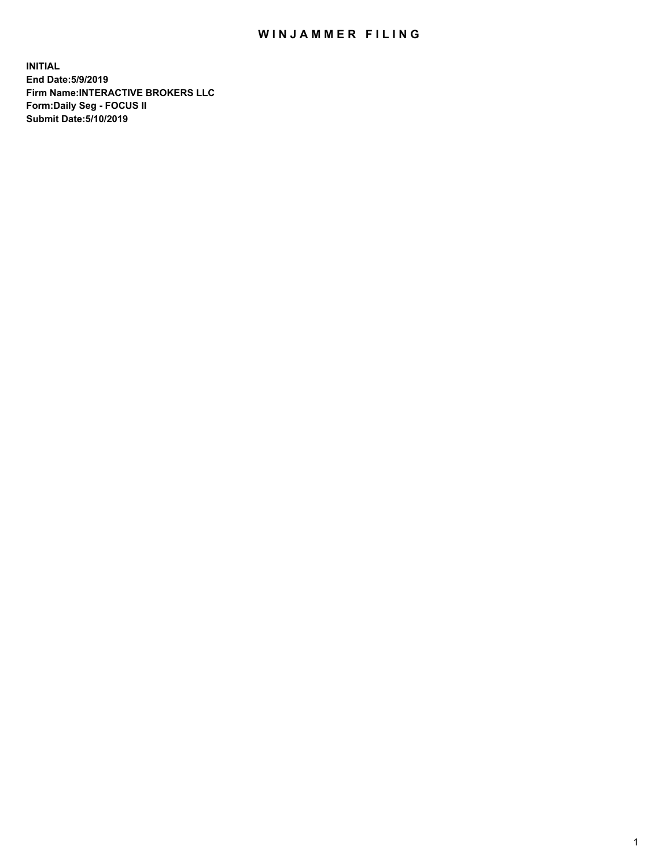## WIN JAMMER FILING

**INITIAL End Date:5/9/2019 Firm Name:INTERACTIVE BROKERS LLC Form:Daily Seg - FOCUS II Submit Date:5/10/2019**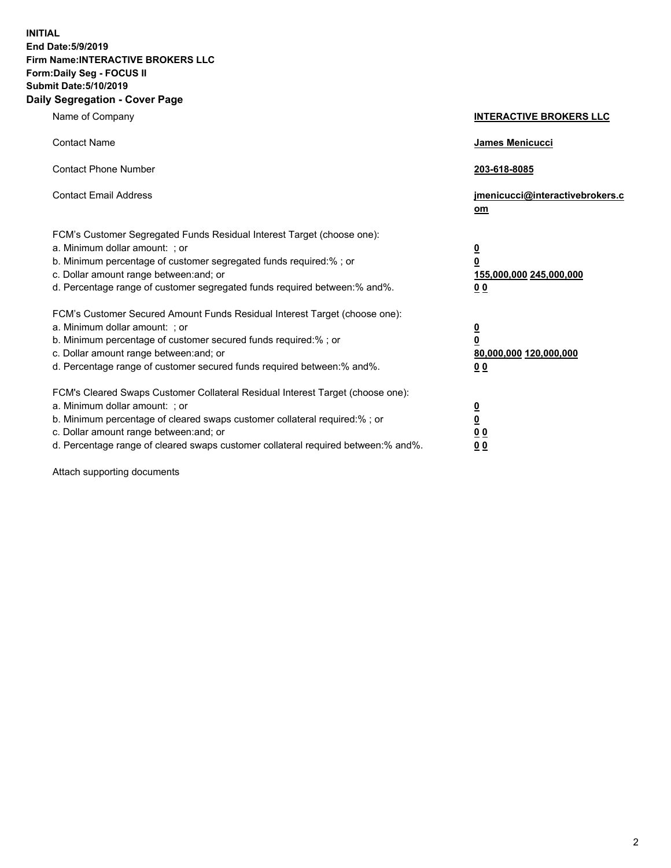**INITIAL End Date:5/9/2019 Firm Name:INTERACTIVE BROKERS LLC Form:Daily Seg - FOCUS II Submit Date:5/10/2019 Daily Segregation - Cover Page**

| Name of Company                                                                                                                                                                                                                                                                                                               | <b>INTERACTIVE BROKERS LLC</b>                                                                  |
|-------------------------------------------------------------------------------------------------------------------------------------------------------------------------------------------------------------------------------------------------------------------------------------------------------------------------------|-------------------------------------------------------------------------------------------------|
| <b>Contact Name</b>                                                                                                                                                                                                                                                                                                           | <b>James Menicucci</b>                                                                          |
| <b>Contact Phone Number</b>                                                                                                                                                                                                                                                                                                   | 203-618-8085                                                                                    |
| <b>Contact Email Address</b>                                                                                                                                                                                                                                                                                                  | jmenicucci@interactivebrokers.c<br>$om$                                                         |
| FCM's Customer Segregated Funds Residual Interest Target (choose one):<br>a. Minimum dollar amount: ; or<br>b. Minimum percentage of customer segregated funds required:% ; or<br>c. Dollar amount range between: and; or<br>d. Percentage range of customer segregated funds required between:% and%.                        | $\overline{\mathbf{0}}$<br>$\overline{\mathbf{0}}$<br>155,000,000 245,000,000<br>0 <sub>0</sub> |
| FCM's Customer Secured Amount Funds Residual Interest Target (choose one):<br>a. Minimum dollar amount: ; or<br>b. Minimum percentage of customer secured funds required:%; or<br>c. Dollar amount range between: and; or<br>d. Percentage range of customer secured funds required between:% and%.                           | $\overline{\mathbf{0}}$<br>$\pmb{0}$<br>80,000,000 120,000,000<br>0 <sub>0</sub>                |
| FCM's Cleared Swaps Customer Collateral Residual Interest Target (choose one):<br>a. Minimum dollar amount: ; or<br>b. Minimum percentage of cleared swaps customer collateral required:%; or<br>c. Dollar amount range between: and; or<br>d. Percentage range of cleared swaps customer collateral required between:% and%. | $\overline{\mathbf{0}}$<br><u>0</u><br>0 <sub>0</sub><br>00                                     |

Attach supporting documents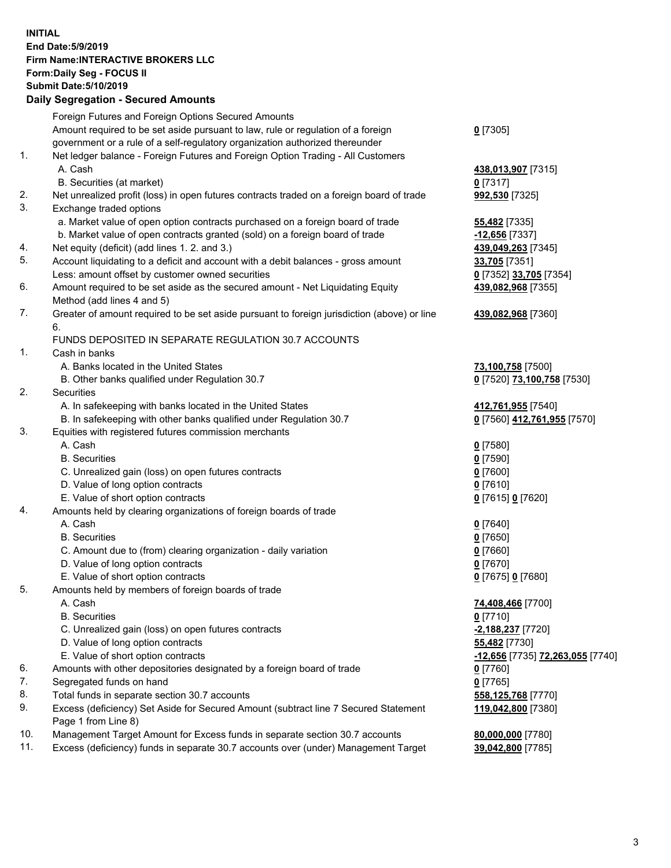## **INITIAL End Date:5/9/2019 Firm Name:INTERACTIVE BROKERS LLC Form:Daily Seg - FOCUS II Submit Date:5/10/2019 Daily Segregation - Secured Amounts**

|     | Dany Jegregation - Jecureu Aniounts                                                         |                                    |
|-----|---------------------------------------------------------------------------------------------|------------------------------------|
|     | Foreign Futures and Foreign Options Secured Amounts                                         |                                    |
|     | Amount required to be set aside pursuant to law, rule or regulation of a foreign            | $0$ [7305]                         |
|     | government or a rule of a self-regulatory organization authorized thereunder                |                                    |
| 1.  | Net ledger balance - Foreign Futures and Foreign Option Trading - All Customers             |                                    |
|     | A. Cash                                                                                     | 438,013,907 [7315]                 |
|     | B. Securities (at market)                                                                   | $0$ [7317]                         |
| 2.  | Net unrealized profit (loss) in open futures contracts traded on a foreign board of trade   | 992,530 [7325]                     |
| 3.  | Exchange traded options                                                                     |                                    |
|     | a. Market value of open option contracts purchased on a foreign board of trade              | <b>55,482</b> [7335]               |
|     | b. Market value of open contracts granted (sold) on a foreign board of trade                | $-12,656$ [7337]                   |
| 4.  | Net equity (deficit) (add lines 1. 2. and 3.)                                               | 439,049,263 [7345]                 |
| 5.  | Account liquidating to a deficit and account with a debit balances - gross amount           | 33,705 [7351]                      |
|     | Less: amount offset by customer owned securities                                            | 0 [7352] 33,705 [7354]             |
| 6.  | Amount required to be set aside as the secured amount - Net Liquidating Equity              | 439,082,968 [7355]                 |
|     | Method (add lines 4 and 5)                                                                  |                                    |
| 7.  | Greater of amount required to be set aside pursuant to foreign jurisdiction (above) or line | 439,082,968 [7360]                 |
|     | 6.                                                                                          |                                    |
|     | FUNDS DEPOSITED IN SEPARATE REGULATION 30.7 ACCOUNTS                                        |                                    |
| 1.  | Cash in banks                                                                               |                                    |
|     | A. Banks located in the United States                                                       | 73,100,758 [7500]                  |
|     | B. Other banks qualified under Regulation 30.7                                              | 0 [7520] 73,100,758 [7530]         |
| 2.  | Securities                                                                                  |                                    |
|     | A. In safekeeping with banks located in the United States                                   | 412,761,955 [7540]                 |
|     | B. In safekeeping with other banks qualified under Regulation 30.7                          | 0 [7560] 412,761,955 [7570]        |
| 3.  | Equities with registered futures commission merchants                                       |                                    |
|     | A. Cash                                                                                     | $0$ [7580]                         |
|     | <b>B.</b> Securities                                                                        | $0$ [7590]                         |
|     | C. Unrealized gain (loss) on open futures contracts                                         | $0$ [7600]                         |
|     | D. Value of long option contracts                                                           | $0$ [7610]                         |
|     | E. Value of short option contracts                                                          | 0 [7615] 0 [7620]                  |
| 4.  | Amounts held by clearing organizations of foreign boards of trade                           |                                    |
|     | A. Cash                                                                                     | $0$ [7640]                         |
|     | <b>B.</b> Securities                                                                        | $0$ [7650]                         |
|     | C. Amount due to (from) clearing organization - daily variation                             | $0$ [7660]                         |
|     | D. Value of long option contracts                                                           | 0 [7670]                           |
|     | E. Value of short option contracts                                                          | 0 [7675] 0 [7680]                  |
| 5.  | Amounts held by members of foreign boards of trade                                          |                                    |
|     | A. Cash<br><b>B.</b> Securities                                                             | 74,408,466 [7700]                  |
|     | C. Unrealized gain (loss) on open futures contracts                                         | $0$ [7710]                         |
|     | D. Value of long option contracts                                                           | -2,188,237 [7720]<br>55,482 [7730] |
|     | E. Value of short option contracts                                                          | -12,656 [7735] 72,263,055 [7740]   |
| 6.  | Amounts with other depositories designated by a foreign board of trade                      |                                    |
| 7.  | Segregated funds on hand                                                                    | 0 [7760]<br>$0$ [7765]             |
| 8.  | Total funds in separate section 30.7 accounts                                               | 558,125,768 [7770]                 |
| 9.  | Excess (deficiency) Set Aside for Secured Amount (subtract line 7 Secured Statement         | 119,042,800 [7380]                 |
|     | Page 1 from Line 8)                                                                         |                                    |
| 10. | Management Target Amount for Excess funds in separate section 30.7 accounts                 | 80,000,000 [7780]                  |
| 11. | Excess (deficiency) funds in separate 30.7 accounts over (under) Management Target          | 39,042,800 [7785]                  |
|     |                                                                                             |                                    |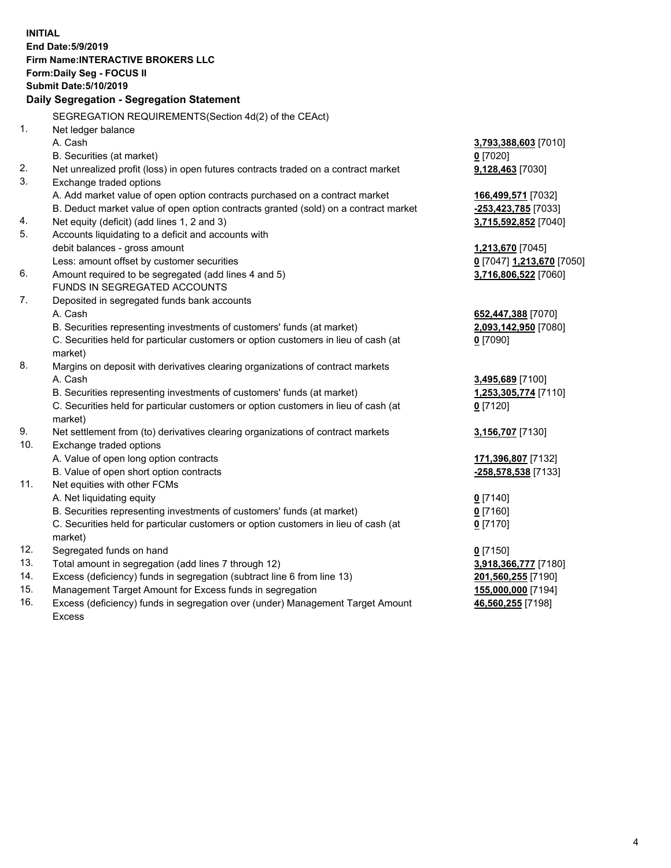**INITIAL End Date:5/9/2019 Firm Name:INTERACTIVE BROKERS LLC Form:Daily Seg - FOCUS II Submit Date:5/10/2019 Daily Segregation - Segregation Statement** SEGREGATION REQUIREMENTS(Section 4d(2) of the CEAct) 1. Net ledger balance A. Cash **3,793,388,603** [7010] B. Securities (at market) **0** [7020] 2. Net unrealized profit (loss) in open futures contracts traded on a contract market **9,128,463** [7030] 3. Exchange traded options A. Add market value of open option contracts purchased on a contract market **166,499,571** [7032] B. Deduct market value of open option contracts granted (sold) on a contract market **-253,423,785** [7033] 4. Net equity (deficit) (add lines 1, 2 and 3) **3,715,592,852** [7040] 5. Accounts liquidating to a deficit and accounts with debit balances - gross amount **1,213,670** [7045] Less: amount offset by customer securities **0** [7047] **1,213,670** [7050] 6. Amount required to be segregated (add lines 4 and 5) **3,716,806,522** [7060] FUNDS IN SEGREGATED ACCOUNTS 7. Deposited in segregated funds bank accounts A. Cash **652,447,388** [7070] B. Securities representing investments of customers' funds (at market) **2,093,142,950** [7080] C. Securities held for particular customers or option customers in lieu of cash (at market) **0** [7090] 8. Margins on deposit with derivatives clearing organizations of contract markets A. Cash **3,495,689** [7100] B. Securities representing investments of customers' funds (at market) **1,253,305,774** [7110] C. Securities held for particular customers or option customers in lieu of cash (at market) **0** [7120] 9. Net settlement from (to) derivatives clearing organizations of contract markets **3,156,707** [7130] 10. Exchange traded options A. Value of open long option contracts **171,396,807** [7132] B. Value of open short option contracts **-258,578,538** [7133] 11. Net equities with other FCMs A. Net liquidating equity **0** [7140] B. Securities representing investments of customers' funds (at market) **0** [7160] C. Securities held for particular customers or option customers in lieu of cash (at market) **0** [7170] 12. Segregated funds on hand **0** [7150] 13. Total amount in segregation (add lines 7 through 12) **3,918,366,777** [7180] 14. Excess (deficiency) funds in segregation (subtract line 6 from line 13) **201,560,255** [7190] 15. Management Target Amount for Excess funds in segregation **155,000,000** [7194] **46,560,255** [7198]

16. Excess (deficiency) funds in segregation over (under) Management Target Amount Excess